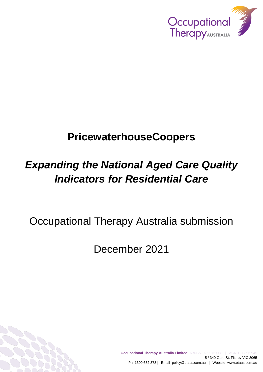

# **PricewaterhouseCoopers**

# *Expanding the National Aged Care Quality Indicators for Residential Care*

Occupational Therapy Australia submission

December 2021

**Occupational Therapy Australia Limited** ABN 27 025 075 008 | ACN 127 396 945 5 / 340 Gore St. Fitzroy VIC 3065 Ph 1300 682 878 | Email policy@otaus.com.au | Website www.otaus.com.au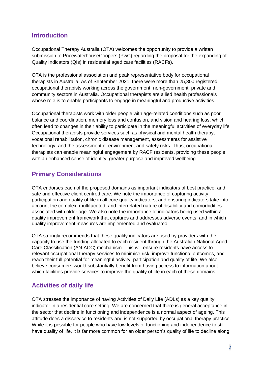#### **Introduction**

Occupational Therapy Australia (OTA) welcomes the opportunity to provide a written submission to PricewaterhouseCoopers (PwC) regarding the proposal for the expanding of Quality Indicators (QIs) in residential aged care facilities (RACFs).

OTA is the professional association and peak representative body for occupational therapists in Australia. As of September 2021, there were more than 25,300 registered occupational therapists working across the government, non-government, private and community sectors in Australia. Occupational therapists are allied health professionals whose role is to enable participants to engage in meaningful and productive activities.

Occupational therapists work with older people with age-related conditions such as poor balance and coordination, memory loss and confusion, and vision and hearing loss, which often lead to changes in their ability to participate in the meaningful activities of everyday life. Occupational therapists provide services such as physical and mental health therapy, vocational rehabilitation, chronic disease management, assessments for assistive technology, and the assessment of environment and safety risks. Thus, occupational therapists can enable meaningful engagement by RACF residents, providing these people with an enhanced sense of identity, greater purpose and improved wellbeing.

# **Primary Considerations**

OTA endorses each of the proposed domains as important indicators of best practice, and safe and effective client centred care. We note the importance of capturing activity, participation and quality of life in all core quality indicators, and ensuring indicators take into account the complex, multifaceted, and interrelated nature of disability and comorbidities associated with older age. We also note the importance of indicators being used within a quality improvement framework that captures and addresses adverse events, and in which quality improvement measures are implemented and evaluated.

OTA strongly recommends that these quality indicators are used by providers with the capacity to use the funding allocated to each resident through the Australian National Aged Care Classification (AN-ACC) mechanism. This will ensure residents have access to relevant occupational therapy services to minimise risk, improve functional outcomes, and reach their full potential for meaningful activity, participation and quality of life. We also believe consumers would substantially benefit from having access to information about which facilities provide services to improve the quality of life in each of these domains.

## **Activities of daily life**

OTA stresses the importance of having Activities of Daily Life (ADLs) as a key quality indicator in a residential care setting. We are concerned that there is general acceptance in the sector that decline in functioning and independence is a normal aspect of ageing. This attitude does a disservice to residents and is not supported by occupational therapy practice. While it is possible for people who have low levels of functioning and independence to still have quality of life, it is far more common for an older person's quality of life to decline along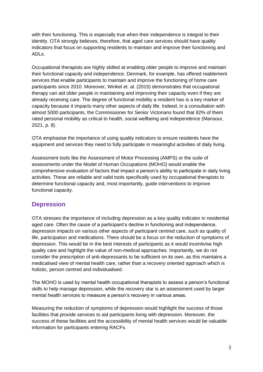with their functioning. This is especially true when their independence is integral to their identity. OTA strongly believes, therefore, that aged care services should have quality indicators that focus on supporting residents to maintain and improve their functioning and ADLs.

Occupational therapists are highly skilled at enabling older people to improve and maintain their functional capacity and independence. Denmark, for example, has offered reablement services that enable participants to maintain and improve the functioning of home care participants since 2010. Moreover, Winkel et. al. (2015) demonstrates that occupational therapy can aid older people in maintaining and improving their capacity even if they are already receiving care. The degree of functional mobility a resident has is a key marker of capacity because it impacts many other aspects of daily life. Indeed, in a consultation with almost 5000 participants, the Commissioner for Senior Victorians found that 92% of them rated personal mobility as critical to health, social wellbeing and independence (Mansour, 2021, p. 8).

OTA emphasise the importance of using quality indicators to ensure residents have the equipment and services they need to fully participate in meaningful activities of daily living.

Assessment tools like the Assessment of Motor Processing (AMPS) or the suite of assessments under the Model of Human Occupations (MOHO) would enable the comprehensive evaluation of factors that impact a person's ability to participate in daily living activities. These are reliable and valid tools specifically used by occupational therapists to determine functional capacity and, most importantly, guide interventions to improve functional capacity.

## **Depression**

OTA stresses the importance of including depression as a key quality indicator in residential aged care. Often the cause of a participant's decline in functioning and independence, depression impacts on various other aspects of participant centred care, such as quality of life, participation and medications. There should be a focus on the reduction of symptoms of depression. This would be in the best interests of participants as it would incentivise high quality care and highlight the value of non-medical approaches. Importantly, we do not consider the prescription of anti-depressants to be sufficient on its own, as this maintains a medicalised view of mental health care, rather than a recovery oriented approach which is holistic, person centred and individualised.

The MOHO is used by mental health occupational therapists to assess a person's functional skills to help manage depression, while the recovery star is an assessment used by larger mental health services to measure a person's recovery in various areas.

Measuring the reduction of symptoms of depression would highlight the success of those facilities that provide services to aid participants living with depression. Moreover, the success of these facilities and the accessibility of mental health services would be valuable information for participants entering RACFs.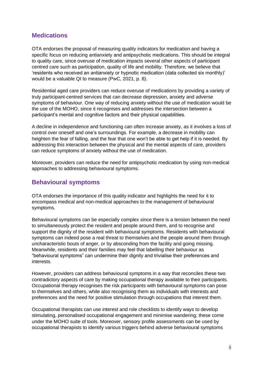#### **Medications**

OTA endorses the proposal of measuring quality indicators for medication and having a specific focus on reducing antianxiety and antipsychotic medications. This should be integral to quality care, since overuse of medication impacts several other aspects of participant centred care such as participation, quality of life and mobility. Therefore, we believe that 'residents who received an antianxiety or hypnotic medication (data collected six monthly)' would be a valuable QI to measure (PwC, 2021, p. 8).

Residential aged care providers can reduce overuse of medications by providing a variety of truly participant-centred services that can decrease depression, anxiety and adverse symptoms of behaviour. One way of reducing anxiety without the use of medication would be the use of the MOHO, since it recognises and addresses the intersection between a participant's mental and cognitive factors and their physical capabilities.

A decline in independence and functioning can often increase anxiety, as it involves a loss of control over oneself and one's surroundings. For example, a decrease in mobility can heighten the fear of falling, and the fear that one won't be able to get help if it is needed. By addressing this interaction between the physical and the mental aspects of care, providers can reduce symptoms of anxiety without the use of medication.

Moreover, providers can reduce the need for antipsychotic medication by using non-medical approaches to addressing behavioural symptoms.

#### **Behavioural symptoms**

OTA endorses the importance of this quality indicator and highlights the need for it to encompass medical and non-medical approaches to the management of behavioural symptoms.

Behavioural symptoms can be especially complex since there is a tension between the need to simultaneously protect the resident and people around them, and to recognise and support the dignity of the resident with behavioural symptoms. Residents with behavioural symptoms can indeed pose a real threat to themselves and the people around them through uncharacteristic bouts of anger, or by absconding from the facility and going missing. Meanwhile, residents and their families may feel that labelling their behaviour as "behavioural symptoms" can undermine their dignity and trivialise their preferences and interests.

However, providers can address behavioural symptoms in a way that reconciles these two contradictory aspects of care by making occupational therapy available to their participants. Occupational therapy recognises the risk participants with behavioural symptoms can pose to themselves and others, while also recognising them as individuals with interests and preferences and the need for positive stimulation through occupations that interest them.

Occupational therapists can use interest and role checklists to identify ways to develop stimulating, personalised occupational engagement and minimise wandering; these come under the MOHO suite of tools. Moreover, sensory profile assessments can be used by occupational therapists to identify various triggers behind adverse behavioural symptoms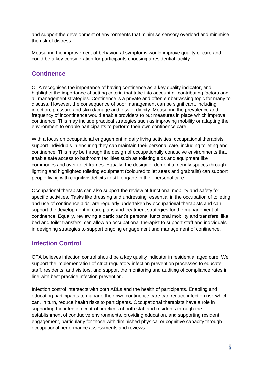and support the development of environments that minimise sensory overload and minimise the risk of distress.

Measuring the improvement of behavioural symptoms would improve quality of care and could be a key consideration for participants choosing a residential facility.

## **Continence**

OTA recognises the importance of having continence as a key quality indicator, and highlights the importance of setting criteria that take into account all contributing factors and all management strategies. Continence is a private and often embarrassing topic for many to discuss. However, the consequence of poor management can be significant, including infection, pressure and skin damage and loss of dignity. Measuring the prevalence and frequency of incontinence would enable providers to put measures in place which improve continence. This may include practical strategies such as improving mobility or adapting the environment to enable participants to perform their own continence care.

With a focus on occupational engagement in daily living activities, occupational therapists support individuals in ensuring they can maintain their personal care, including toileting and continence. This may be through the design of occupationally conducive environments that enable safe access to bathroom facilities such as toileting aids and equipment like commodes and over toilet frames. Equally, the design of dementia friendly spaces through lighting and highlighted toileting equipment (coloured toilet seats and grabrails) can support people living with cognitive deficits to still engage in their personal care.

Occupational therapists can also support the review of functional mobility and safety for specific activities. Tasks like dressing and undressing, essential in the occupation of toileting and use of continence aids, are regularly undertaken by occupational therapists and can support the development of care plans and treatment strategies for the management of continence. Equally, reviewing a participant's personal functional mobility and transfers, like bed and toilet transfers, can allow an occupational therapist to support staff and individuals in designing strategies to support ongoing engagement and management of continence.

## **Infection Control**

OTA believes infection control should be a key quality indicator in residential aged care. We support the implementation of strict regulatory infection prevention processes to educate staff, residents, and visitors, and support the monitoring and auditing of compliance rates in line with best practice infection prevention.

Infection control intersects with both ADLs and the health of participants. Enabling and educating participants to manage their own continence care can reduce infection risk which can, in turn, reduce health risks to participants. Occupational therapists have a role in supporting the infection control practices of both staff and residents through the establishment of conducive environments, providing education, and supporting resident engagement, particularly for those with diminished physical or cognitive capacity through occupational performance assessments and reviews.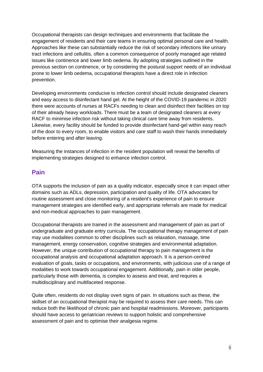Occupational therapists can design techniques and environments that facilitate the engagement of residents and their care teams in ensuring optimal personal care and health. Approaches like these can substantially reduce the risk of secondary infections like urinary tract infections and cellulitis, often a common consequence of poorly managed age related issues like continence and lower limb oedema. By adopting strategies outlined in the previous section on continence, or by considering the postural support needs of an individual prone to lower limb oedema, occupational therapists have a direct role in infection prevention.

Developing environments conducive to infection control should include designated cleaners and easy access to disinfectant hand gel. At the height of the COVID-19 pandemic in 2020 there were accounts of nurses at RACFs needing to clean and disinfect their facilities on top of their already heavy workloads. There must be a team of designated cleaners at every RACF to minimise infection risk without taking clinical care time away from residents. Likewise, every facility should be funded to provide disinfectant hand-gel within easy reach of the door to every room, to enable visitors and care staff to wash their hands immediately before entering and after leaving.

Measuring the instances of infection in the resident population will reveal the benefits of implementing strategies designed to enhance infection control.

## **Pain**

OTA supports the inclusion of pain as a quality indicator, especially since it can impact other domains such as ADLs, depression, participation and quality of life. OTA advocates for routine assessment and close monitoring of a resident's experience of pain to ensure management strategies are identified early, and appropriate referrals are made for medical and non-medical approaches to pain management.

Occupational therapists are trained in the assessment and management of pain as part of undergraduate and graduate entry curricula. The occupational therapy management of pain may use modalities common to other disciplines such as relaxation, massage, time management, energy conservation, cognitive strategies and environmental adaptation. However, the unique contribution of occupational therapy to pain management is the occupational analysis and occupational adaptation approach. It is a person-centred evaluation of goals, tasks or occupations, and environments, with judicious use of a range of modalities to work towards occupational engagement. Additionally, pain in older people, particularly those with dementia, is complex to assess and treat, and requires a multidisciplinary and multifaceted response.

Quite often, residents do not display overt signs of pain. In situations such as these, the skillset of an occupational therapist may be required to assess their care needs. This can reduce both the likelihood of chronic pain and hospital readmissions. Moreover, participants should have access to geriatrician reviews to support holistic and comprehensive assessment of pain and to optimise their analgesia regime.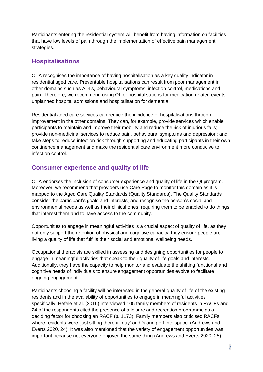Participants entering the residential system will benefit from having information on facilities that have low levels of pain through the implementation of effective pain management strategies.

#### **Hospitalisations**

OTA recognises the importance of having hospitalisation as a key quality indicator in residential aged care. Preventable hospitalisations can result from poor management in other domains such as ADLs, behavioural symptoms, infection control, medications and pain. Therefore, we recommend using QI for hospitalisations for medication related events, unplanned hospital admissions and hospitalisation for dementia.

Residential aged care services can reduce the incidence of hospitalisations through improvement in the other domains. They can, for example, provide services which enable participants to maintain and improve their mobility and reduce the risk of injurious falls; provide non-medicinal services to reduce pain, behavioural symptoms and depression; and take steps to reduce infection risk through supporting and educating participants in their own continence management and make the residential care environment more conducive to infection control.

# **Consumer experience and quality of life**

OTA endorses the inclusion of consumer experience and quality of life in the QI program. Moreover, we recommend that providers use Care Page to monitor this domain as it is mapped to the Aged Care Quality Standards (Quality Standards). The Quality Standards consider the participant's goals and interests, and recognise the person's social and environmental needs as well as their clinical ones, requiring them to be enabled to do things that interest them and to have access to the community.

Opportunities to engage in meaningful activities is a crucial aspect of quality of life, as they not only support the retention of physical and cognitive capacity, they ensure people are living a quality of life that fulfills their social and emotional wellbeing needs.

Occupational therapists are skilled in assessing and designing opportunities for people to engage in meaningful activities that speak to their quality of life goals and interests. Additionally, they have the capacity to help monitor and evaluate the shifting functional and cognitive needs of individuals to ensure engagement opportunities evolve to facilitate ongoing engagement.

Participants choosing a facility will be interested in the general quality of life of the existing residents and in the availability of opportunities to engage in meaningful activities specifically. Hefele et al. (2016) interviewed 105 family members of residents in RACFs and 24 of the respondents cited the presence of a leisure and recreation programme as a deciding factor for choosing an RACF (p. 1173). Family members also criticised RACFs where residents were 'just sitting there all day' and 'staring off into space' (Andrews and Everts 2020, 24). It was also mentioned that the variety of engagement opportunities was important because not everyone enjoyed the same thing (Andrews and Everts 2020, 25).